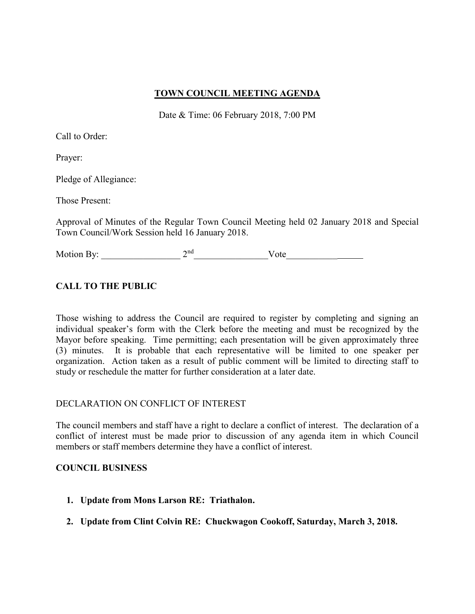# **TOWN COUNCIL MEETING AGENDA**

Date & Time: 06 February 2018, 7:00 PM

Call to Order:

Prayer:

Pledge of Allegiance:

Those Present:

Approval of Minutes of the Regular Town Council Meeting held 02 January 2018 and Special Town Council/Work Session held 16 January 2018.

Motion By:  $2<sup>nd</sup>$  Vote

# **CALL TO THE PUBLIC**

Those wishing to address the Council are required to register by completing and signing an individual speaker's form with the Clerk before the meeting and must be recognized by the Mayor before speaking. Time permitting; each presentation will be given approximately three (3) minutes. It is probable that each representative will be limited to one speaker per organization. Action taken as a result of public comment will be limited to directing staff to study or reschedule the matter for further consideration at a later date.

# DECLARATION ON CONFLICT OF INTEREST

The council members and staff have a right to declare a conflict of interest. The declaration of a conflict of interest must be made prior to discussion of any agenda item in which Council members or staff members determine they have a conflict of interest.

# **COUNCIL BUSINESS**

- **1. Update from Mons Larson RE: Triathalon.**
- **2. Update from Clint Colvin RE: Chuckwagon Cookoff, Saturday, March 3, 2018.**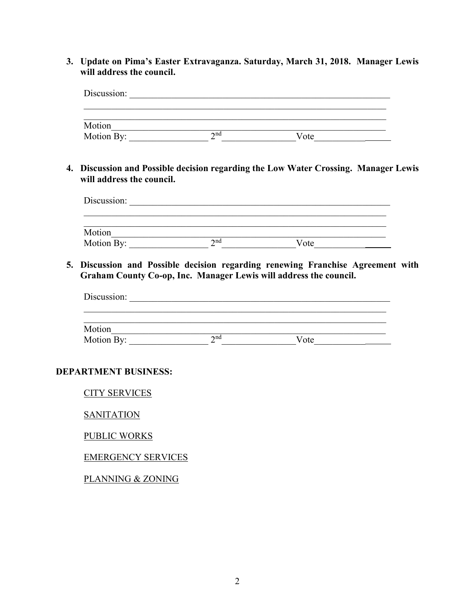**3. Update on Pima's Easter Extravaganza. Saturday, March 31, 2018. Manager Lewis will address the council.**

| Discussion: |             |      |  |
|-------------|-------------|------|--|
|             |             |      |  |
| Motion      |             |      |  |
| Motion By:  | $\gamma$ nd | Vote |  |

**4. Discussion and Possible decision regarding the Low Water Crossing. Manager Lewis will address the council.**

| Discussion: |             |      |  |
|-------------|-------------|------|--|
| Motion      |             |      |  |
| Motion By:  | $\gamma$ nd | Vote |  |

**5. Discussion and Possible decision regarding renewing Franchise Agreement with Graham County Co-op, Inc. Manager Lewis will address the council.**

| Discussion: |             |      |  |  |
|-------------|-------------|------|--|--|
|             |             |      |  |  |
| Motion      |             |      |  |  |
| Motion By:  | $\gamma$ nd | Vote |  |  |

# **DEPARTMENT BUSINESS:**

CITY SERVICES

**SANITATION** 

PUBLIC WORKS

# EMERGENCY SERVICES

PLANNING & ZONING